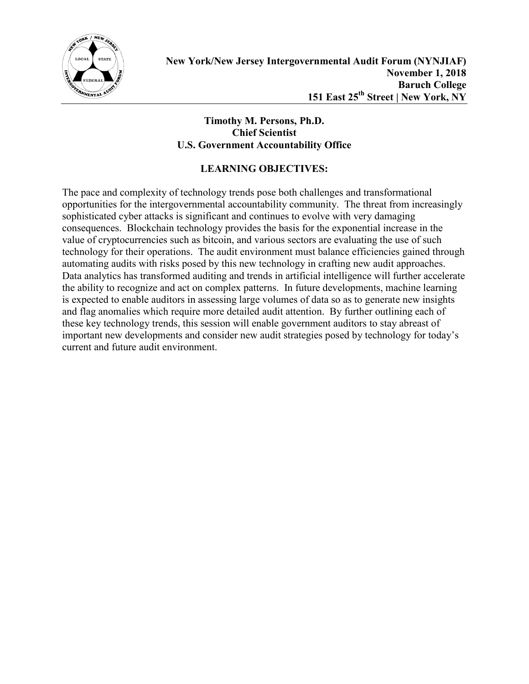

#### **Timothy M. Persons, Ph.D. Chief Scientist U.S. Government Accountability Office**

### **LEARNING OBJECTIVES:**

The pace and complexity of technology trends pose both challenges and transformational opportunities for the intergovernmental accountability community. The threat from increasingly sophisticated cyber attacks is significant and continues to evolve with very damaging consequences. Blockchain technology provides the basis for the exponential increase in the value of cryptocurrencies such as bitcoin, and various sectors are evaluating the use of such technology for their operations. The audit environment must balance efficiencies gained through automating audits with risks posed by this new technology in crafting new audit approaches. Data analytics has transformed auditing and trends in artificial intelligence will further accelerate the ability to recognize and act on complex patterns. In future developments, machine learning is expected to enable auditors in assessing large volumes of data so as to generate new insights and flag anomalies which require more detailed audit attention. By further outlining each of these key technology trends, this session will enable government auditors to stay abreast of important new developments and consider new audit strategies posed by technology for today's current and future audit environment.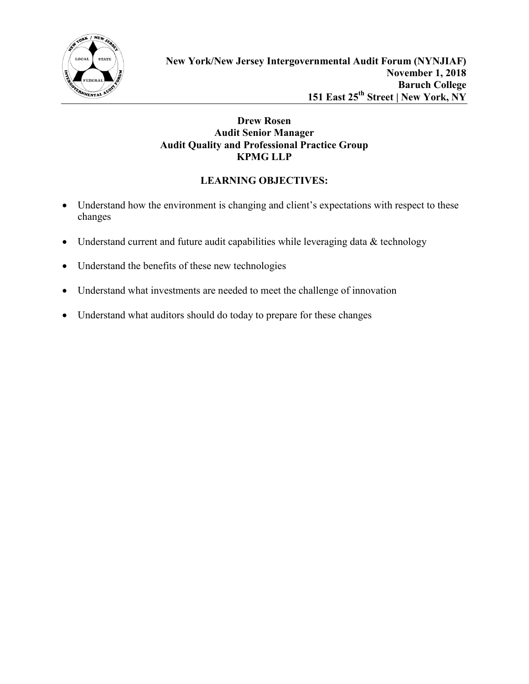

### **Drew Rosen Audit Senior Manager Audit Quality and Professional Practice Group KPMG LLP**

# **LEARNING OBJECTIVES:**

- Understand how the environment is changing and client's expectations with respect to these changes
- Understand current and future audit capabilities while leveraging data & technology
- Understand the benefits of these new technologies
- Understand what investments are needed to meet the challenge of innovation
- Understand what auditors should do today to prepare for these changes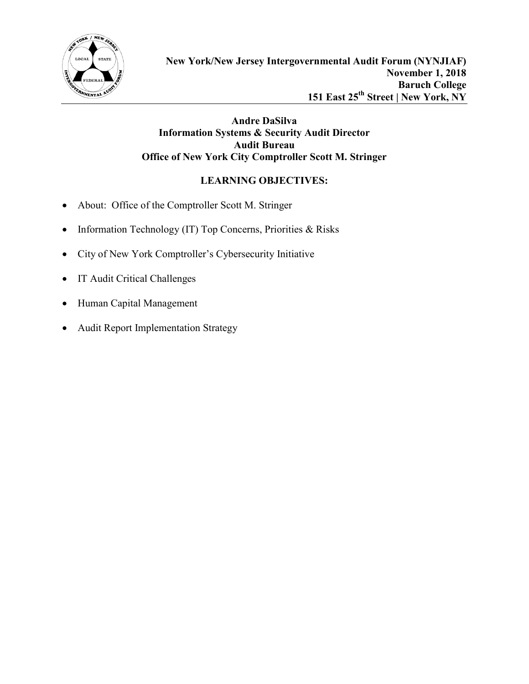

### **Andre DaSilva Information Systems & Security Audit Director Audit Bureau Office of New York City Comptroller Scott M. Stringer**

# **LEARNING OBJECTIVES:**

- About: Office of the Comptroller Scott M. Stringer
- Information Technology (IT) Top Concerns, Priorities & Risks
- City of New York Comptroller's Cybersecurity Initiative
- IT Audit Critical Challenges
- Human Capital Management
- Audit Report Implementation Strategy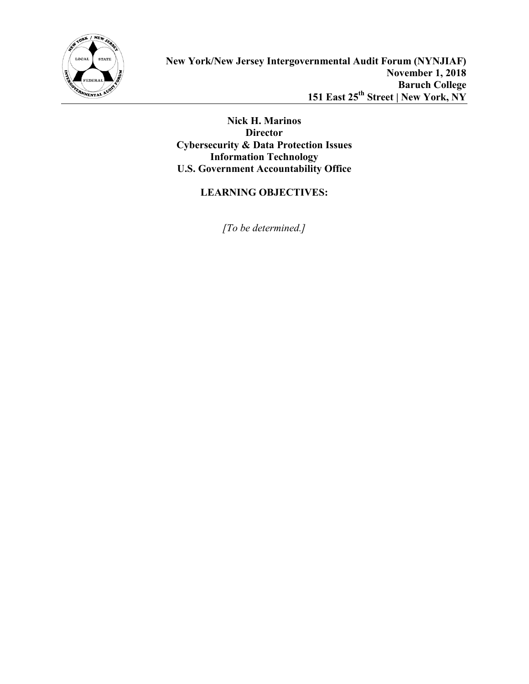

**Nick H. Marinos Director Cybersecurity & Data Protection Issues Information Technology U.S. Government Accountability Office**

# **LEARNING OBJECTIVES:**

*[To be determined.]*